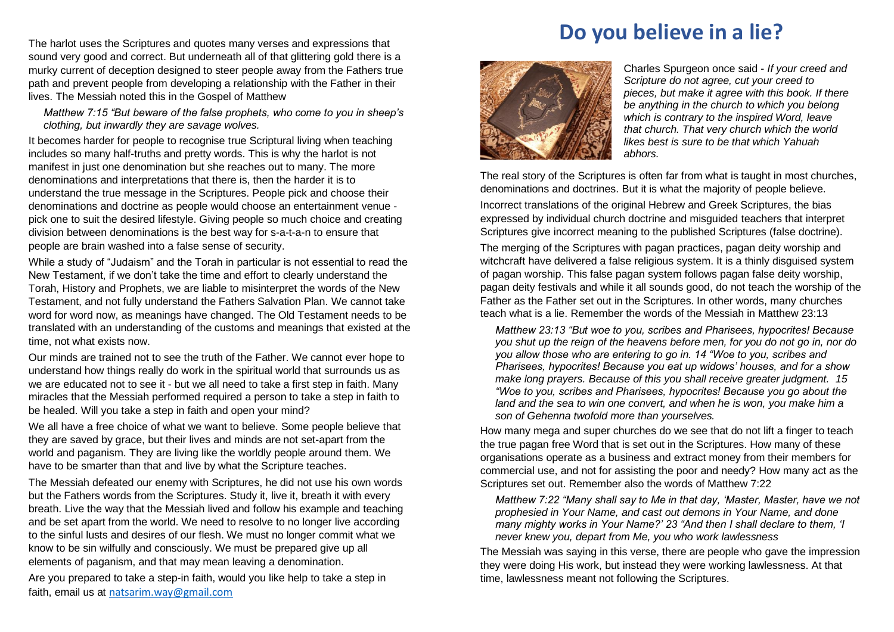path and prevent people from developing a relationship with the Father in their The harlot uses the Scriptures and quotes many verses and expressions that sound very good and correct. But underneath all of that glittering gold there is a murky current of deception designed to steer people away from the Fathers true lives. The Messiah noted this in the Gospel of Matthew

*Matthew 7:15 "But beware of the false prophets, who come to you in sheep's clothing, but inwardly they are savage wolves.*

It becomes harder for people to recognise true Scriptural living when teaching includes so many half-truths and pretty words. This is why the harlot is not manifest in just one denomination but she reaches out to many. The more denominations and interpretations that there is, then the harder it is to understand the true message in the Scriptures. People pick and choose their denominations and doctrine as people would choose an entertainment venue pick one to suit the desired lifestyle. Giving people so much choice and creating division between denominations is the best way for s-a-t-a-n to ensure that people are brain washed into a false sense of security.

While a study of "Judaism" and the Torah in particular is not essential to read the New Testament, if we don't take the time and effort to clearly understand the Torah, History and Prophets, we are liable to misinterpret the words of the New Testament, and not fully understand the Fathers Salvation Plan. We cannot take word for word now, as meanings have changed. The Old Testament needs to be translated with an understanding of the customs and meanings that existed at the time, not what exists now.

Our minds are trained not to see the truth of the Father. We cannot ever hope to understand how things really do work in the spiritual world that surrounds us as we are educated not to see it - but we all need to take a first step in faith. Many miracles that the Messiah performed required a person to take a step in faith to be healed. Will you take a step in faith and open your mind?

We all have a free choice of what we want to believe. Some people believe that they are saved by grace, but their lives and minds are not set-apart from the world and paganism. They are living like the worldly people around them. We have to be smarter than that and live by what the Scripture teaches.

The Messiah defeated our enemy with Scriptures, he did not use his own words but the Fathers words from the Scriptures. Study it, live it, breath it with every breath. Live the way that the Messiah lived and follow his example and teaching and be set apart from the world. We need to resolve to no longer live according to the sinful lusts and desires of our flesh. We must no longer commit what we know to be sin wilfully and consciously. We must be prepared give up all elements of paganism, and that may mean leaving a denomination.

Are you prepared to take a step-in faith, would you like help to take a step in faith, email us at [natsarim.way@gmail.com](mailto:natsarim.way@gmail.com)

## **Do you believe in a lie?**



Charles Spurgeon once said - *If your creed and Scripture do not agree, cut your creed to pieces, but make it agree with this book. If there be anything in the church to which you belong which is contrary to the inspired Word, leave that church. That very church which the world likes best is sure to be that which Yahuah abhors.*

The real story of the Scriptures is often far from what is taught in most churches, denominations and doctrines. But it is what the majority of people believe.

Incorrect translations of the original Hebrew and Greek Scriptures, the bias expressed by individual church doctrine and misguided teachers that interpret Scriptures give incorrect meaning to the published Scriptures (false doctrine).

The merging of the Scriptures with pagan practices, pagan deity worship and witchcraft have delivered a false religious system. It is a thinly disguised system of pagan worship. This false pagan system follows pagan false deity worship, pagan deity festivals and while it all sounds good, do not teach the worship of the Father as the Father set out in the Scriptures. In other words, many churches teach what is a lie. Remember the words of the Messiah in Matthew 23:13

*Matthew 23:13 "But woe to you, scribes and Pharisees, hypocrites! Because you shut up the reign of the heavens before men, for you do not go in, nor do you allow those who are entering to go in. 14 "Woe to you, scribes and Pharisees, hypocrites! Because you eat up widows' houses, and for a show make long prayers. Because of this you shall receive greater judgment. 15 "Woe to you, scribes and Pharisees, hypocrites! Because you go about the land and the sea to win one convert, and when he is won, you make him a son of Gehenna twofold more than yourselves.*

How many mega and super churches do we see that do not lift a finger to teach the true pagan free Word that is set out in the Scriptures. How many of these organisations operate as a business and extract money from their members for commercial use, and not for assisting the poor and needy? How many act as the Scriptures set out. Remember also the words of Matthew 7:22

*Matthew 7:22 "Many shall say to Me in that day, 'Master, Master, have we not prophesied in Your Name, and cast out demons in Your Name, and done many mighty works in Your Name?' 23 "And then I shall declare to them, 'I never knew you, depart from Me, you who work lawlessness*

The Messiah was saying in this verse, there are people who gave the impression they were doing His work, but instead they were working lawlessness. At that time, lawlessness meant not following the Scriptures.